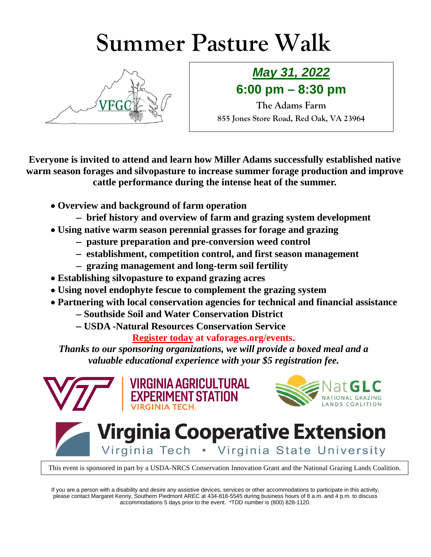## **Summer Pasture Walk**



## *May 31, 2022* **6:00 pm – 8:30 pm**

**The Adams Farm 855 Jones Store Road, Red Oak, VA 23964**

**Everyone is invited to attend and learn how Miller Adams successfully established native warm season forages and silvopasture to increase summer forage production and improve cattle performance during the intense heat of the summer.**

- **Overview and background of farm operation**
	- − **brief history and overview of farm and grazing system development**
- **Using native warm season perennial grasses for forage and grazing**
	- − **pasture preparation and pre-conversion weed control**
	- − **establishment, competition control, and first season management**
	- − **grazing management and long-term soil fertility**
- **Establishing silvopasture to expand grazing acres**
- **Using novel endophyte fescue to complement the grazing system**
- **Partnering with local conservation agencies for technical and financial assistance**
	- − **Southside Soil and Water Conservation District**
	- − **USDA -Natural Resources Conservation Service**

**PERIMENT STATION** 

**Register today at vaforages.org/events.**

*Thanks to our sponsoring organizations, we will provide a boxed meal and a valuable educational experience with your \$5 registration fee.*





## **Virginia Cooperative Extension** Virginia Tech . Virginia State University

This event is sponsored in part by a USDA-NRCS Conservation Innovation Grant and the National Grazing Lands Coalition.

If you are a person with a disability and desire any assistive devices, services or other accommodations to participate in this activity, please contact Margaret Kenny, Southern Piedmont AREC at 434-818-5545 during business hours of 8 a.m. and 4 p.m. to discuss accommodations 5 days prior to the event. \*TDD number is (800) 828-1120.